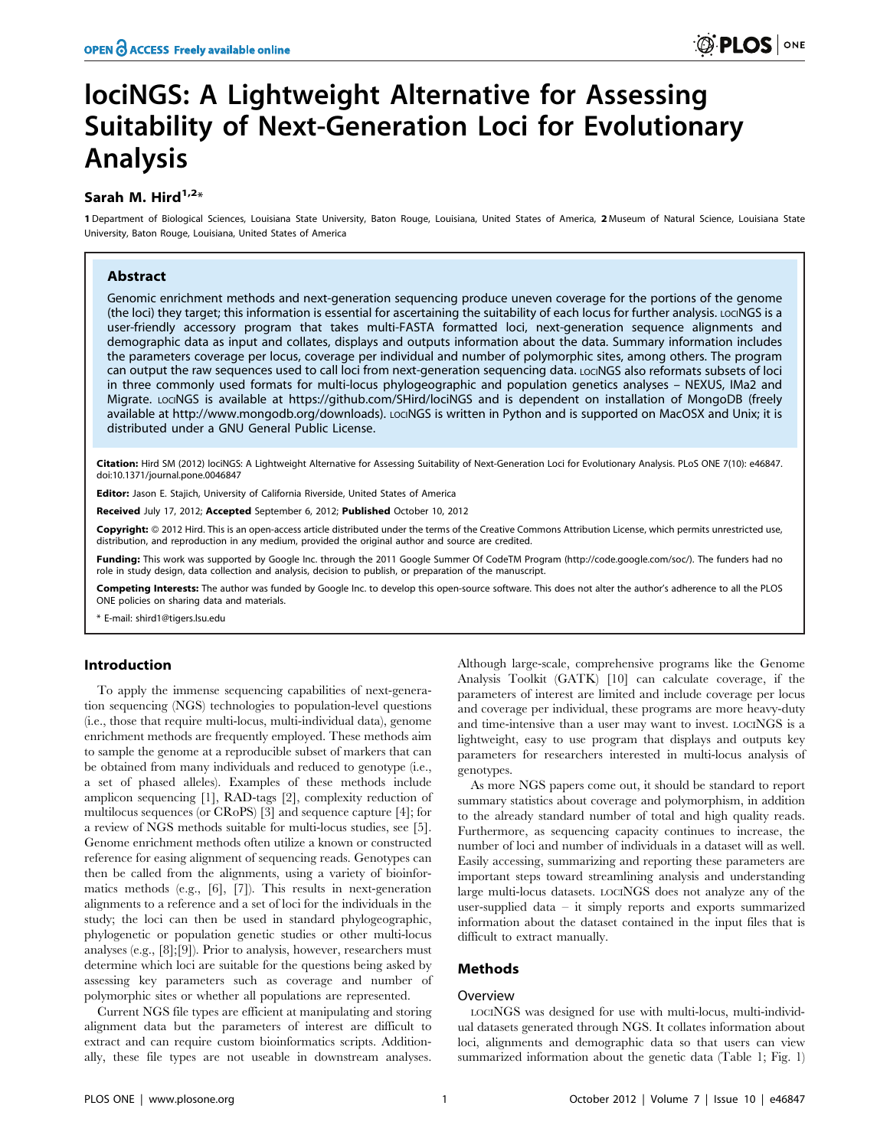# lociNGS: A Lightweight Alternative for Assessing Suitability of Next-Generation Loci for Evolutionary Analysis

# Sarah M. Hird $1,2*$

1 Department of Biological Sciences, Louisiana State University, Baton Rouge, Louisiana, United States of America, 2 Museum of Natural Science, Louisiana State University, Baton Rouge, Louisiana, United States of America

## Abstract

Genomic enrichment methods and next-generation sequencing produce uneven coverage for the portions of the genome (the loci) they target; this information is essential for ascertaining the suitability of each locus for further analysis. LOCINGS is a user-friendly accessory program that takes multi-FASTA formatted loci, next-generation sequence alignments and demographic data as input and collates, displays and outputs information about the data. Summary information includes the parameters coverage per locus, coverage per individual and number of polymorphic sites, among others. The program can output the raw sequences used to call loci from next-generation sequencing data. LocINGS also reformats subsets of loci in three commonly used formats for multi-locus phylogeographic and population genetics analyses – NEXUS, IMa2 and Migrate. LocINGS is available at https://github.com/SHird/lociNGS and is dependent on installation of MongoDB (freely available at http://www.mongodb.org/downloads). LociNGS is written in Python and is supported on MacOSX and Unix; it is distributed under a GNU General Public License.

Citation: Hird SM (2012) lociNGS: A Lightweight Alternative for Assessing Suitability of Next-Generation Loci for Evolutionary Analysis. PLoS ONE 7(10): e46847. doi:10.1371/journal.pone.0046847

Editor: Jason E. Stajich, University of California Riverside, United States of America

Received July 17, 2012; Accepted September 6, 2012; Published October 10, 2012

**Copyright:** © 2012 Hird. This is an open-access article distributed under the terms of the Creative Commons Attribution License, which permits unrestricted use, distribution, and reproduction in any medium, provided the original author and source are credited.

Funding: This work was supported by Google Inc. through the 2011 Google Summer Of CodeTM Program (http://code.google.com/soc/). The funders had no role in study design, data collection and analysis, decision to publish, or preparation of the manuscript.

Competing Interests: The author was funded by Google Inc. to develop this open-source software. This does not alter the author's adherence to all the PLOS ONE policies on sharing data and materials.

\* E-mail: shird1@tigers.lsu.edu

## Introduction

To apply the immense sequencing capabilities of next-generation sequencing (NGS) technologies to population-level questions (i.e., those that require multi-locus, multi-individual data), genome enrichment methods are frequently employed. These methods aim to sample the genome at a reproducible subset of markers that can be obtained from many individuals and reduced to genotype (i.e., a set of phased alleles). Examples of these methods include amplicon sequencing [1], RAD-tags [2], complexity reduction of multilocus sequences (or CRoPS) [3] and sequence capture [4]; for a review of NGS methods suitable for multi-locus studies, see [5]. Genome enrichment methods often utilize a known or constructed reference for easing alignment of sequencing reads. Genotypes can then be called from the alignments, using a variety of bioinformatics methods (e.g., [6], [7]). This results in next-generation alignments to a reference and a set of loci for the individuals in the study; the loci can then be used in standard phylogeographic, phylogenetic or population genetic studies or other multi-locus analyses (e.g., [8];[9]). Prior to analysis, however, researchers must determine which loci are suitable for the questions being asked by assessing key parameters such as coverage and number of polymorphic sites or whether all populations are represented.

Current NGS file types are efficient at manipulating and storing alignment data but the parameters of interest are difficult to extract and can require custom bioinformatics scripts. Additionally, these file types are not useable in downstream analyses.

Although large-scale, comprehensive programs like the Genome Analysis Toolkit (GATK) [10] can calculate coverage, if the parameters of interest are limited and include coverage per locus and coverage per individual, these programs are more heavy-duty and time-intensive than a user may want to invest. LOCINGS is a lightweight, easy to use program that displays and outputs key parameters for researchers interested in multi-locus analysis of genotypes.

As more NGS papers come out, it should be standard to report summary statistics about coverage and polymorphism, in addition to the already standard number of total and high quality reads. Furthermore, as sequencing capacity continues to increase, the number of loci and number of individuals in a dataset will as well. Easily accessing, summarizing and reporting these parameters are important steps toward streamlining analysis and understanding large multi-locus datasets. LOCINGS does not analyze any of the user-supplied data – it simply reports and exports summarized information about the dataset contained in the input files that is difficult to extract manually.

## Methods

# Overview

LOCINGS was designed for use with multi-locus, multi-individual datasets generated through NGS. It collates information about loci, alignments and demographic data so that users can view summarized information about the genetic data (Table 1; Fig. 1)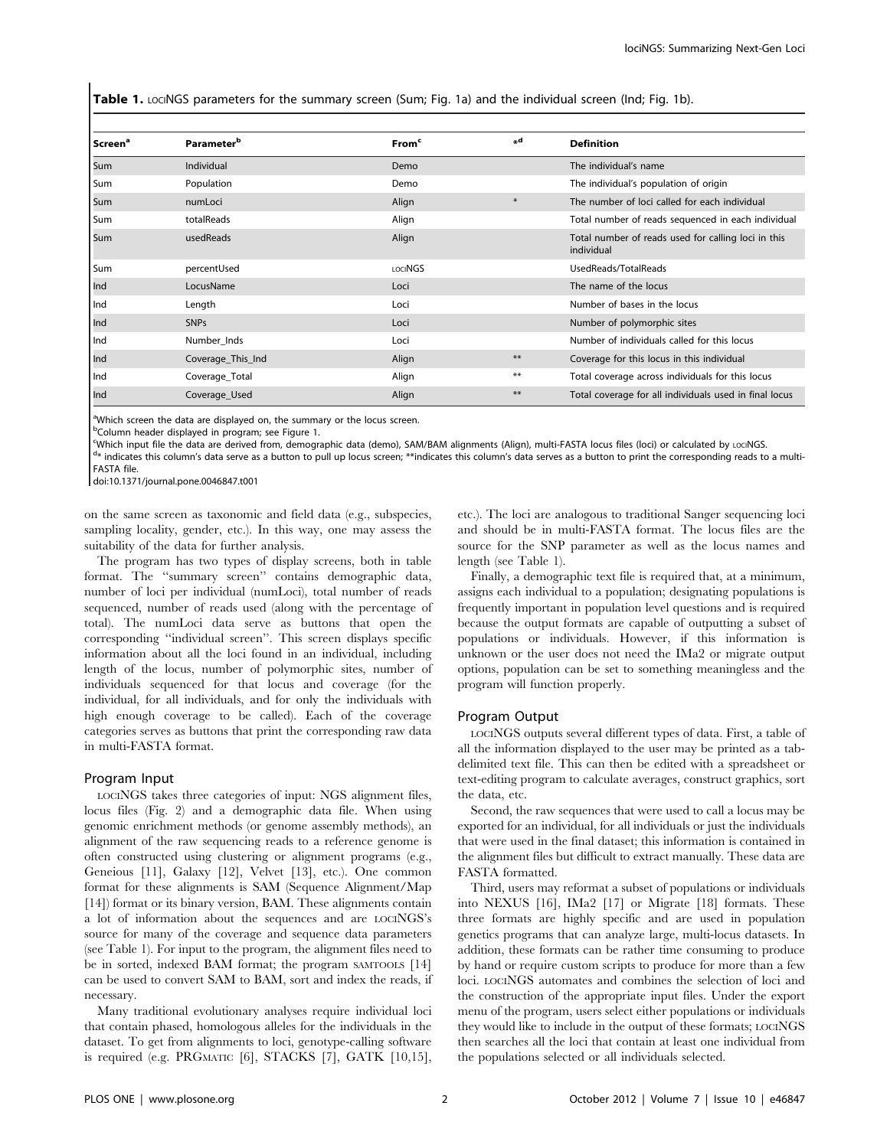Table 1. LociNGS parameters for the summary screen (Sum; Fig. 1a) and the individual screen (Ind; Fig. 1b).

| Screen <sup>a</sup> | <b>Parameter</b> <sup>b</sup> | From <sup>c</sup> | ", d   | <b>Definition</b>                                                 |
|---------------------|-------------------------------|-------------------|--------|-------------------------------------------------------------------|
| Sum                 | Individual                    | Demo              |        | The individual's name                                             |
| Sum                 | Population                    | Demo              |        | The individual's population of origin                             |
| Sum                 | numLoci                       | Align             | $\ast$ | The number of loci called for each individual                     |
| Sum                 | totalReads                    | Align             |        | Total number of reads sequenced in each individual                |
| Sum                 | usedReads                     | Align             |        | Total number of reads used for calling loci in this<br>individual |
| Sum                 | percentUsed                   | LOCINGS           |        | UsedReads/TotalReads                                              |
| l Ind               | LocusName                     | Loci              |        | The name of the locus                                             |
| Ind                 | Length                        | Loci              |        | Number of bases in the locus                                      |
| Ind                 | <b>SNPs</b>                   | Loci              |        | Number of polymorphic sites                                       |
| l Ind               | Number Inds                   | Loci              |        | Number of individuals called for this locus                       |
| Ind                 | Coverage_This_Ind             | Align             | $***$  | Coverage for this locus in this individual                        |
| Ind                 | Coverage_Total                | Align             | $***$  | Total coverage across individuals for this locus                  |
| Ind                 | Coverage_Used                 | Align             | $***$  | Total coverage for all individuals used in final locus            |

<sup>a</sup>Which screen the data are displayed on, the summary or the locus screen.

<sup>b</sup>Column header displayed in program; see Figure 1.

Which input file the data are derived from, demographic data (demo), SAM/BAM alignments (Align), multi-FASTA locus files (loci) or calculated by LOCINGS.<br><sup>d\*</sup> indicates this column's data serve as a button to pull up locus

 $d*$  indicates this column's data serve as a button to pull up locus screen; \*\*indicates this column's data serves as a button to print the corresponding reads to a multi-FASTA file.

doi:10.1371/journal.pone.0046847.t001

on the same screen as taxonomic and field data (e.g., subspecies, sampling locality, gender, etc.). In this way, one may assess the suitability of the data for further analysis.

The program has two types of display screens, both in table format. The ''summary screen'' contains demographic data, number of loci per individual (numLoci), total number of reads sequenced, number of reads used (along with the percentage of total). The numLoci data serve as buttons that open the corresponding ''individual screen''. This screen displays specific information about all the loci found in an individual, including length of the locus, number of polymorphic sites, number of individuals sequenced for that locus and coverage (for the individual, for all individuals, and for only the individuals with high enough coverage to be called). Each of the coverage categories serves as buttons that print the corresponding raw data in multi-FASTA format.

#### Program Input

LOCINGS takes three categories of input: NGS alignment files, locus files (Fig. 2) and a demographic data file. When using genomic enrichment methods (or genome assembly methods), an alignment of the raw sequencing reads to a reference genome is often constructed using clustering or alignment programs (e.g., Geneious [11], Galaxy [12], Velvet [13], etc.). One common format for these alignments is SAM (Sequence Alignment/Map [14]) format or its binary version, BAM. These alignments contain a lot of information about the sequences and are LOCINGS's source for many of the coverage and sequence data parameters (see Table 1). For input to the program, the alignment files need to be in sorted, indexed BAM format; the program SAMTOOLS [14] can be used to convert SAM to BAM, sort and index the reads, if necessary.

Many traditional evolutionary analyses require individual loci that contain phased, homologous alleles for the individuals in the dataset. To get from alignments to loci, genotype-calling software is required (e.g. PRGMATIC [6], STACKS [7], GATK [10,15], etc.). The loci are analogous to traditional Sanger sequencing loci and should be in multi-FASTA format. The locus files are the source for the SNP parameter as well as the locus names and length (see Table 1).

Finally, a demographic text file is required that, at a minimum, assigns each individual to a population; designating populations is frequently important in population level questions and is required because the output formats are capable of outputting a subset of populations or individuals. However, if this information is unknown or the user does not need the IMa2 or migrate output options, population can be set to something meaningless and the program will function properly.

#### Program Output

LOCINGS outputs several different types of data. First, a table of all the information displayed to the user may be printed as a tabdelimited text file. This can then be edited with a spreadsheet or text-editing program to calculate averages, construct graphics, sort the data, etc.

Second, the raw sequences that were used to call a locus may be exported for an individual, for all individuals or just the individuals that were used in the final dataset; this information is contained in the alignment files but difficult to extract manually. These data are FASTA formatted.

Third, users may reformat a subset of populations or individuals into NEXUS [16], IMa2 [17] or Migrate [18] formats. These three formats are highly specific and are used in population genetics programs that can analyze large, multi-locus datasets. In addition, these formats can be rather time consuming to produce by hand or require custom scripts to produce for more than a few loci. LOCINGS automates and combines the selection of loci and the construction of the appropriate input files. Under the export menu of the program, users select either populations or individuals they would like to include in the output of these formats; LOCINGS then searches all the loci that contain at least one individual from the populations selected or all individuals selected.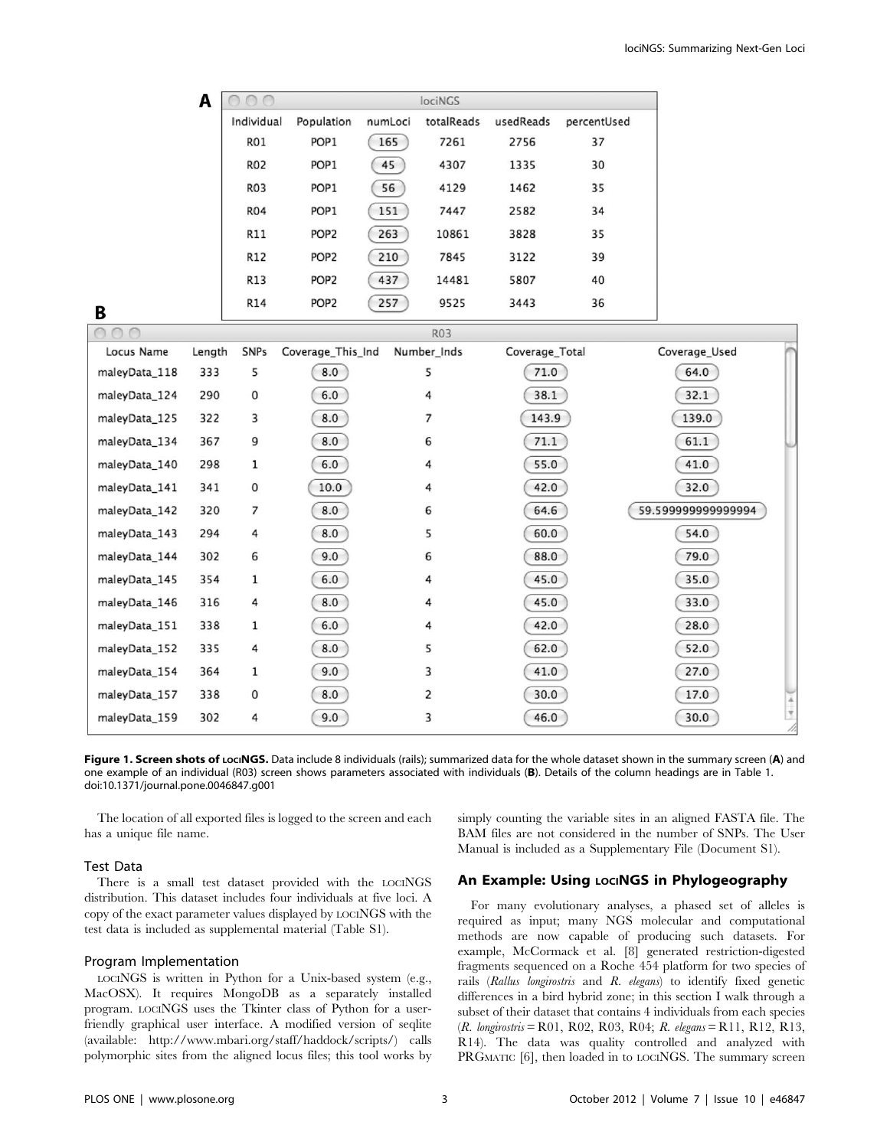| A |            |                  |         | lociNGS    |           |             |  |
|---|------------|------------------|---------|------------|-----------|-------------|--|
|   | Individual | Population       | numLoci | totalReads | usedReads | percentUsed |  |
|   | <b>R01</b> | POP <sub>1</sub> | 165     | 7261       | 2756      | 37          |  |
|   | <b>R02</b> | POP <sub>1</sub> | 45      | 4307       | 1335      | 30          |  |
|   | <b>R03</b> | POP <sub>1</sub> | 56      | 4129       | 1462      | 35          |  |
|   | <b>R04</b> | POP <sub>1</sub> | 151     | 7447       | 2582      | 34          |  |
|   | R11        | POP <sub>2</sub> | 263     | 10861      | 3828      | 35          |  |
|   | R12        | POP <sub>2</sub> | 210     | 7845       | 3122      | 39          |  |
|   | R13        | POP <sub>2</sub> | 437     | 14481      | 5807      | 40          |  |
|   | R14        | POP <sub>2</sub> | 257     | 9525       | 3443      | 36          |  |
|   |            |                  |         |            |           |             |  |

B

| $\cap$        |        |              |                   | R03         |                |                   |
|---------------|--------|--------------|-------------------|-------------|----------------|-------------------|
| Locus Name    | Length | SNPs         | Coverage_This_Ind | Number_Inds | Coverage_Total | Coverage_Used     |
| maleyData_118 | 333    | 5            | 8.0               | 5           | 71.0           | 64.0              |
| maleyData_124 | 290    | 0            | 6.0               | 4           | 38.1           | 32.1              |
| maleyData_125 | 322    | 3            | 8.0               | 7           | 143.9          | 139.0             |
| maleyData_134 | 367    | 9            | 8.0               | 6           | 71.1           | 61.1              |
| maleyData_140 | 298    | 1            | 6.0               | 4           | 55.0           | 41.0              |
| maleyData_141 | 341    | 0            | 10.0              | 4           | 42.0           | 32.0              |
| maleyData_142 | 320    | 7            | 8.0               | 6           | 64.6           | 59.59999999999994 |
| maleyData_143 | 294    | 4            | 8.0               | 5           | 60.0           | 54.0              |
| maleyData_144 | 302    | 6            | 9.0               | 6           | 88.0           | 79.0              |
| maleyData_145 | 354    | $\mathbf{1}$ | 6.0               | 4           | 45.0           | 35.0              |
| maleyData_146 | 316    | 4            | 8.0               | 4           | 45.0           | 33.0              |
| maleyData_151 | 338    | $\mathbf{1}$ | 6.0               | 4           | 42.0           | 28.0              |
| maleyData_152 | 335    | 4            | 8.0               | 5           | 62.0           | 52.0              |
| maleyData_154 | 364    | 1            | 9.0               | 3           | 41.0           | 27.0              |
| maleyData_157 | 338    | 0            | 8.0               | 2           | 30.0           | 17.0              |
| maleyData_159 | 302    | 4            | 9.0               | 3           | 46.0           | v<br>30.0         |

Figure 1. Screen shots of LociNGS. Data include 8 individuals (rails); summarized data for the whole dataset shown in the summary screen (A) and one example of an individual (R03) screen shows parameters associated with individuals (B). Details of the column headings are in Table 1. doi:10.1371/journal.pone.0046847.g001

The location of all exported files is logged to the screen and each has a unique file name.

#### Test Data

There is a small test dataset provided with the LOCINGS distribution. This dataset includes four individuals at five loci. A copy of the exact parameter values displayed by LOCINGS with the test data is included as supplemental material (Table S1).

#### Program Implementation

LOCINGS is written in Python for a Unix-based system (e.g., MacOSX). It requires MongoDB as a separately installed program. LOCINGS uses the Tkinter class of Python for a userfriendly graphical user interface. A modified version of seqlite (available: http://www.mbari.org/staff/haddock/scripts/) calls polymorphic sites from the aligned locus files; this tool works by simply counting the variable sites in an aligned FASTA file. The BAM files are not considered in the number of SNPs. The User Manual is included as a Supplementary File (Document S1).

# An Example: Using LociNGS in Phylogeography

For many evolutionary analyses, a phased set of alleles is required as input; many NGS molecular and computational methods are now capable of producing such datasets. For example, McCormack et al. [8] generated restriction-digested fragments sequenced on a Roche 454 platform for two species of rails (Rallus longirostris and R. elegans) to identify fixed genetic differences in a bird hybrid zone; in this section I walk through a subset of their dataset that contains 4 individuals from each species (R. longirostris = R01, R02, R03, R04; R. elegans = R11, R12, R13, R14). The data was quality controlled and analyzed with PRGMATIC [6], then loaded in to LOCINGS. The summary screen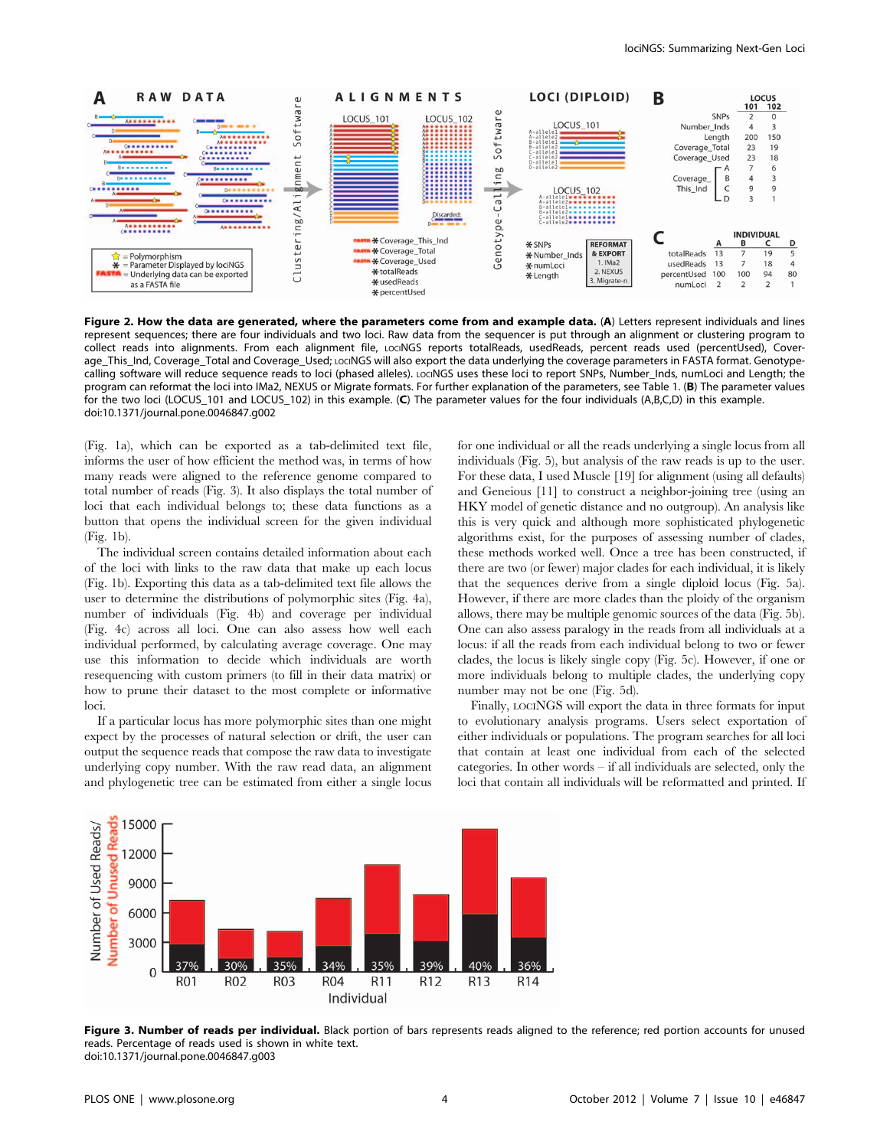

Figure 2. How the data are generated, where the parameters come from and example data. (A) Letters represent individuals and lines represent sequences; there are four individuals and two loci. Raw data from the sequencer is put through an alignment or clustering program to collect reads into alignments. From each alignment file, LOCINGS reports totalReads, usedReads, percent reads used (percentUsed), Coverage\_This\_Ind, Coverage\_Total and Coverage\_Used; LociNGS will also export the data underlying the coverage parameters in FASTA format. Genotypecalling software will reduce sequence reads to loci (phased alleles). LociNGS uses these loci to report SNPs, Number\_Inds, numLoci and Length; the program can reformat the loci into IMa2, NEXUS or Migrate formats. For further explanation of the parameters, see Table 1. (B) The parameter values for the two loci (LOCUS\_101 and LOCUS\_102) in this example. (C) The parameter values for the four individuals (A,B,C,D) in this example. doi:10.1371/journal.pone.0046847.g002

(Fig. 1a), which can be exported as a tab-delimited text file, informs the user of how efficient the method was, in terms of how many reads were aligned to the reference genome compared to total number of reads (Fig. 3). It also displays the total number of loci that each individual belongs to; these data functions as a button that opens the individual screen for the given individual (Fig. 1b).

The individual screen contains detailed information about each of the loci with links to the raw data that make up each locus (Fig. 1b). Exporting this data as a tab-delimited text file allows the user to determine the distributions of polymorphic sites (Fig. 4a), number of individuals (Fig. 4b) and coverage per individual (Fig. 4c) across all loci. One can also assess how well each individual performed, by calculating average coverage. One may use this information to decide which individuals are worth resequencing with custom primers (to fill in their data matrix) or how to prune their dataset to the most complete or informative loci.

If a particular locus has more polymorphic sites than one might expect by the processes of natural selection or drift, the user can output the sequence reads that compose the raw data to investigate underlying copy number. With the raw read data, an alignment and phylogenetic tree can be estimated from either a single locus for one individual or all the reads underlying a single locus from all individuals (Fig. 5), but analysis of the raw reads is up to the user. For these data, I used Muscle [19] for alignment (using all defaults) and Geneious [11] to construct a neighbor-joining tree (using an HKY model of genetic distance and no outgroup). An analysis like this is very quick and although more sophisticated phylogenetic algorithms exist, for the purposes of assessing number of clades, these methods worked well. Once a tree has been constructed, if there are two (or fewer) major clades for each individual, it is likely that the sequences derive from a single diploid locus (Fig. 5a). However, if there are more clades than the ploidy of the organism allows, there may be multiple genomic sources of the data (Fig. 5b). One can also assess paralogy in the reads from all individuals at a locus: if all the reads from each individual belong to two or fewer clades, the locus is likely single copy (Fig. 5c). However, if one or more individuals belong to multiple clades, the underlying copy number may not be one (Fig. 5d).

Finally, LOCINGS will export the data in three formats for input to evolutionary analysis programs. Users select exportation of either individuals or populations. The program searches for all loci that contain at least one individual from each of the selected categories. In other words – if all individuals are selected, only the loci that contain all individuals will be reformatted and printed. If



Figure 3. Number of reads per individual. Black portion of bars represents reads aligned to the reference; red portion accounts for unused reads. Percentage of reads used is shown in white text. doi:10.1371/journal.pone.0046847.g003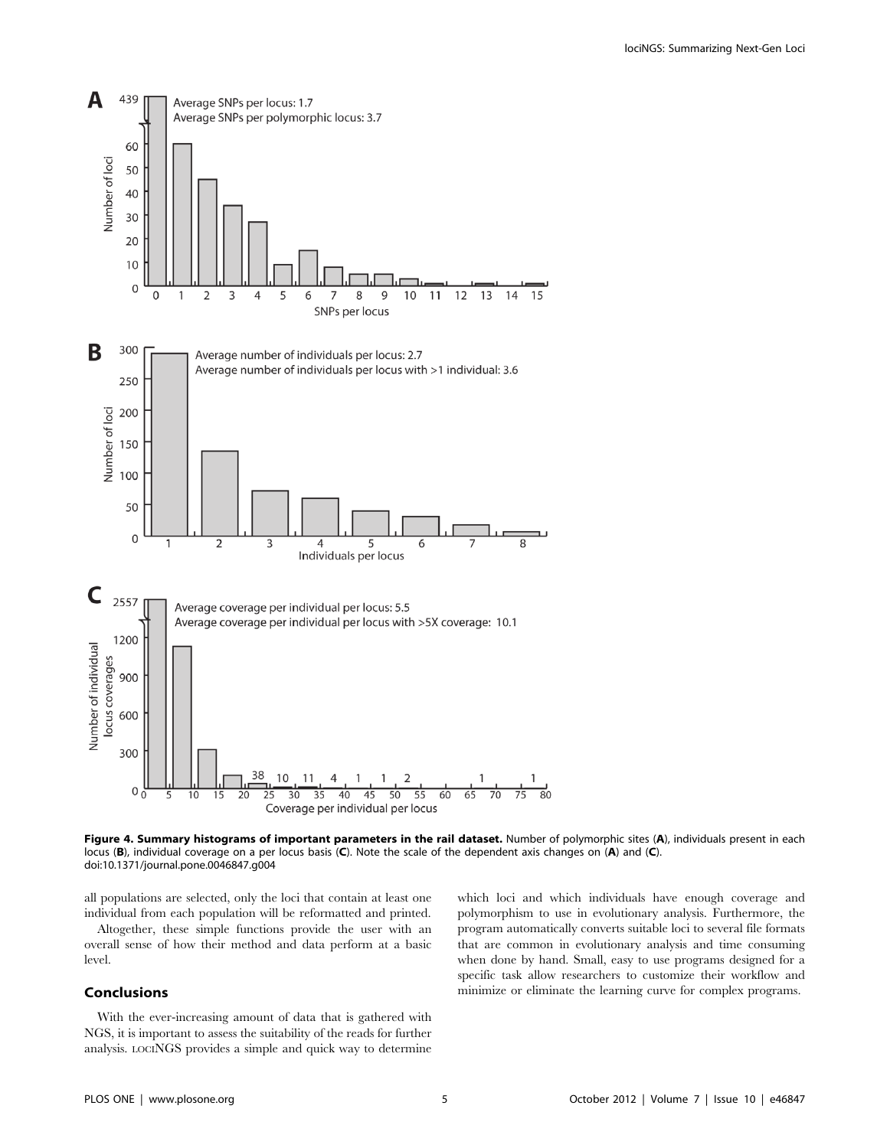

Figure 4. Summary histograms of important parameters in the rail dataset. Number of polymorphic sites (A), individuals present in each locus (B), individual coverage on a per locus basis (C). Note the scale of the dependent axis changes on (A) and (C). doi:10.1371/journal.pone.0046847.g004

all populations are selected, only the loci that contain at least one individual from each population will be reformatted and printed.

Altogether, these simple functions provide the user with an overall sense of how their method and data perform at a basic level.

# Conclusions

With the ever-increasing amount of data that is gathered with NGS, it is important to assess the suitability of the reads for further analysis. LOCINGS provides a simple and quick way to determine which loci and which individuals have enough coverage and polymorphism to use in evolutionary analysis. Furthermore, the program automatically converts suitable loci to several file formats that are common in evolutionary analysis and time consuming when done by hand. Small, easy to use programs designed for a specific task allow researchers to customize their workflow and minimize or eliminate the learning curve for complex programs.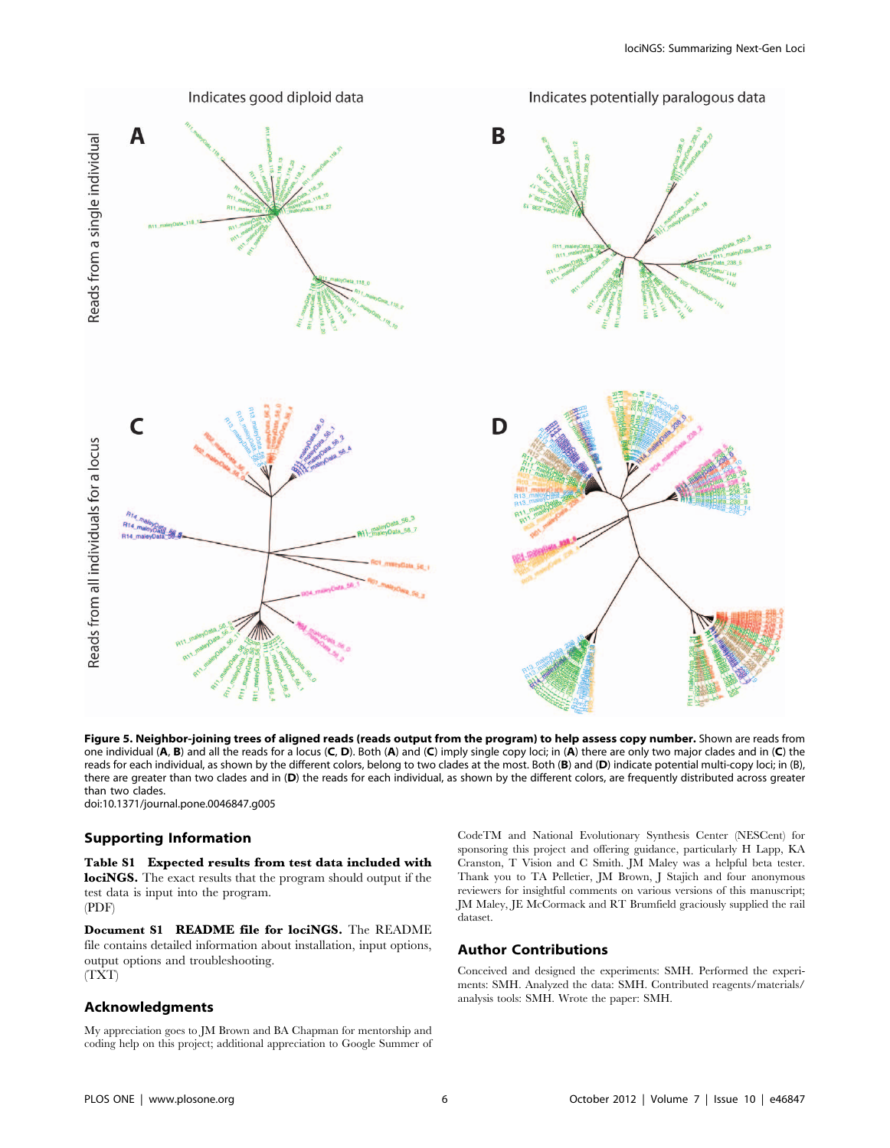

Figure 5. Neighbor-joining trees of aligned reads (reads output from the program) to help assess copy number. Shown are reads from one individual  $(A, B)$  and all the reads for a locus  $(C, D)$ . Both  $(A)$  and  $(C)$  imply single copy loci; in  $(A)$  there are only two major clades and in  $(C)$  the reads for each individual, as shown by the different colors, belong to two clades at the most. Both (B) and (D) indicate potential multi-copy loci; in (B), there are greater than two clades and in (D) the reads for each individual, as shown by the different colors, are frequently distributed across greater than two clades.

doi:10.1371/journal.pone.0046847.g005

# Supporting Information

Table S1 Expected results from test data included with lociNGS. The exact results that the program should output if the test data is input into the program. (PDF)

Document S1 README file for lociNGS. The README file contains detailed information about installation, input options, output options and troubleshooting. (TXT)

## Acknowledgments

My appreciation goes to JM Brown and BA Chapman for mentorship and coding help on this project; additional appreciation to Google Summer of CodeTM and National Evolutionary Synthesis Center (NESCent) for sponsoring this project and offering guidance, particularly H Lapp, KA Cranston, T Vision and C Smith. JM Maley was a helpful beta tester. Thank you to TA Pelletier, JM Brown, J Stajich and four anonymous reviewers for insightful comments on various versions of this manuscript; JM Maley, JE McCormack and RT Brumfield graciously supplied the rail dataset.

### Author Contributions

Conceived and designed the experiments: SMH. Performed the experiments: SMH. Analyzed the data: SMH. Contributed reagents/materials/ analysis tools: SMH. Wrote the paper: SMH.